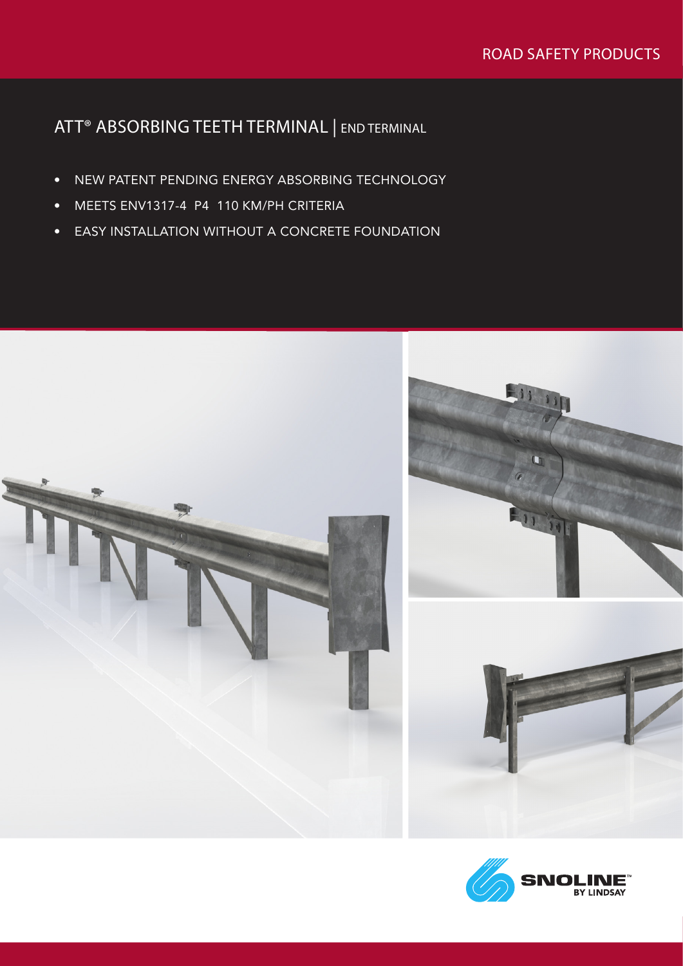# ATT® ABSORBING TEETH TERMINAL | END TERMINAL

- NEW PATENT PENDING ENERGY ABSORBING TECHNOLOGY
- MEETS ENV1317-4 P4 110 KM/PH CRITERIA
- EASY INSTALLATION WITHOUT A CONCRETE FOUNDATION